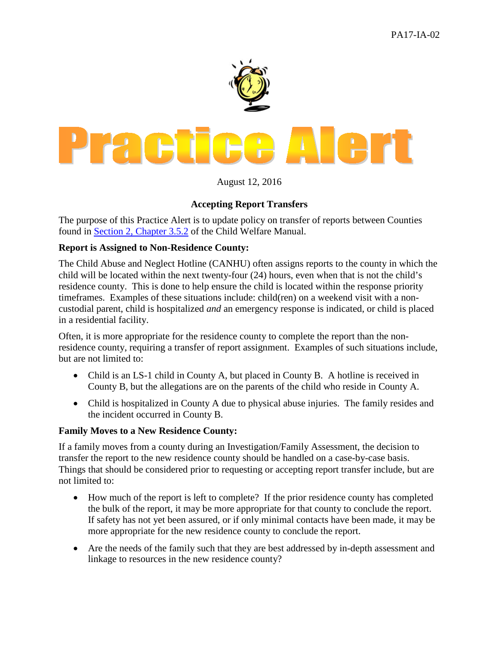

August 12, 2016

# **Accepting Report Transfers**

The purpose of this Practice Alert is to update policy on transfer of reports between Counties found in [Section 2, Chapter 3.5.2](http://dss.mo.gov/cd/info/cwmanual/section2/ch3/sec2ch3sub5.htm) of the Child Welfare Manual.

### **Report is Assigned to Non-Residence County:**

The Child Abuse and Neglect Hotline (CANHU) often assigns reports to the county in which the child will be located within the next twenty-four (24) hours, even when that is not the child's residence county. This is done to help ensure the child is located within the response priority timeframes. Examples of these situations include: child(ren) on a weekend visit with a noncustodial parent, child is hospitalized *and* an emergency response is indicated, or child is placed in a residential facility.

Often, it is more appropriate for the residence county to complete the report than the nonresidence county, requiring a transfer of report assignment. Examples of such situations include, but are not limited to:

- Child is an LS-1 child in County A, but placed in County B. A hotline is received in County B, but the allegations are on the parents of the child who reside in County A.
- Child is hospitalized in County A due to physical abuse injuries. The family resides and the incident occurred in County B.

### **Family Moves to a New Residence County:**

If a family moves from a county during an Investigation/Family Assessment, the decision to transfer the report to the new residence county should be handled on a case-by-case basis. Things that should be considered prior to requesting or accepting report transfer include, but are not limited to:

- How much of the report is left to complete? If the prior residence county has completed the bulk of the report, it may be more appropriate for that county to conclude the report. If safety has not yet been assured, or if only minimal contacts have been made, it may be more appropriate for the new residence county to conclude the report.
- Are the needs of the family such that they are best addressed by in-depth assessment and linkage to resources in the new residence county?